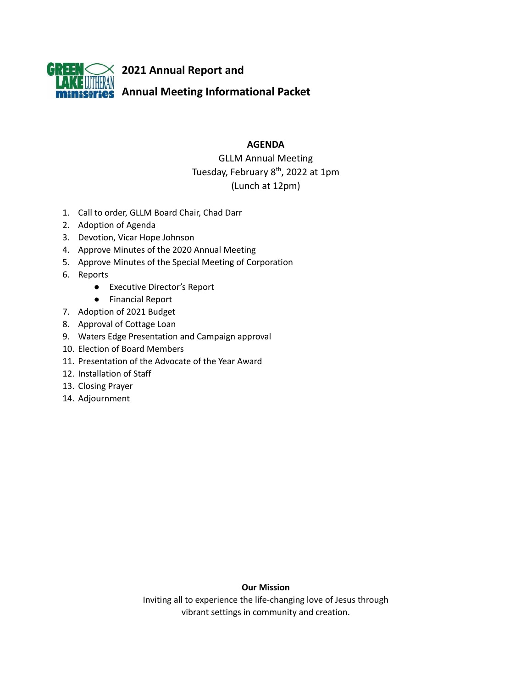

# **AGENDA**

GLLM Annual Meeting Tuesday, February 8<sup>th</sup>, 2022 at 1pm (Lunch at 12pm)

- 1. Call to order, GLLM Board Chair, Chad Darr
- 2. Adoption of Agenda
- 3. Devotion, Vicar Hope Johnson
- 4. Approve Minutes of the 2020 Annual Meeting
- 5. Approve Minutes of the Special Meeting of Corporation
- 6. Reports
	- Executive Director's Report
	- Financial Report
- 7. Adoption of 2021 Budget
- 8. Approval of Cottage Loan
- 9. Waters Edge Presentation and Campaign approval
- 10. Election of Board Members
- 11. Presentation of the Advocate of the Year Award
- 12. Installation of Staff
- 13. Closing Prayer
- 14. Adjournment

# **Our Mission**

Inviting all to experience the life-changing love of Jesus through vibrant settings in community and creation.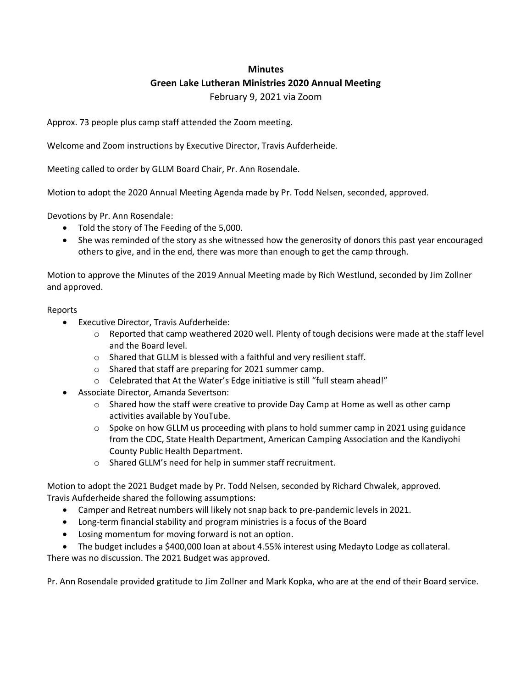# **Minutes**

# **Green Lake Lutheran Ministries 2020 Annual Meeting**

February 9, 2021 via Zoom

Approx. 73 people plus camp staff attended the Zoom meeting.

Welcome and Zoom instructions by Executive Director, Travis Aufderheide.

Meeting called to order by GLLM Board Chair, Pr. Ann Rosendale.

Motion to adopt the 2020 Annual Meeting Agenda made by Pr. Todd Nelsen, seconded, approved.

Devotions by Pr. Ann Rosendale:

- Told the story of The Feeding of the 5,000.
- She was reminded of the story as she witnessed how the generosity of donors this past year encouraged others to give, and in the end, there was more than enough to get the camp through.

Motion to approve the Minutes of the 2019 Annual Meeting made by Rich Westlund, seconded by Jim Zollner and approved.

# Reports

- Executive Director, Travis Aufderheide:
	- $\circ$  Reported that camp weathered 2020 well. Plenty of tough decisions were made at the staff level and the Board level.
	- o Shared that GLLM is blessed with a faithful and very resilient staff.
	- o Shared that staff are preparing for 2021 summer camp.
	- o Celebrated that At the Water's Edge initiative is still "full steam ahead!"
- Associate Director, Amanda Severtson:
	- $\circ$  Shared how the staff were creative to provide Day Camp at Home as well as other camp activities available by YouTube.
	- $\circ$  Spoke on how GLLM us proceeding with plans to hold summer camp in 2021 using guidance from the CDC, State Health Department, American Camping Association and the Kandiyohi County Public Health Department.
	- o Shared GLLM's need for help in summer staff recruitment.

Motion to adopt the 2021 Budget made by Pr. Todd Nelsen, seconded by Richard Chwalek, approved. Travis Aufderheide shared the following assumptions:

- Camper and Retreat numbers will likely not snap back to pre-pandemic levels in 2021.
- Long-term financial stability and program ministries is a focus of the Board
- Losing momentum for moving forward is not an option.
- The budget includes a \$400,000 loan at about 4.55% interest using Medayto Lodge as collateral.

There was no discussion. The 2021 Budget was approved.

Pr. Ann Rosendale provided gratitude to Jim Zollner and Mark Kopka, who are at the end of their Board service.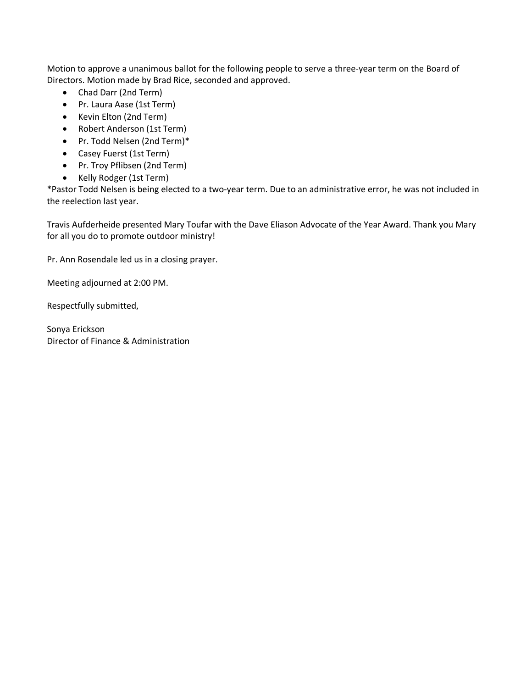Motion to approve a unanimous ballot for the following people to serve a three-year term on the Board of Directors. Motion made by Brad Rice, seconded and approved.

- Chad Darr (2nd Term)
- Pr. Laura Aase (1st Term)
- Kevin Elton (2nd Term)
- Robert Anderson (1st Term)
- Pr. Todd Nelsen (2nd Term)\*
- Casey Fuerst (1st Term)
- Pr. Troy Pflibsen (2nd Term)
- Kelly Rodger (1st Term)

\*Pastor Todd Nelsen is being elected to a two-year term. Due to an administrative error, he was not included in the reelection last year.

Travis Aufderheide presented Mary Toufar with the Dave Eliason Advocate of the Year Award. Thank you Mary for all you do to promote outdoor ministry!

Pr. Ann Rosendale led us in a closing prayer.

Meeting adjourned at 2:00 PM.

Respectfully submitted,

Sonya Erickson Director of Finance & Administration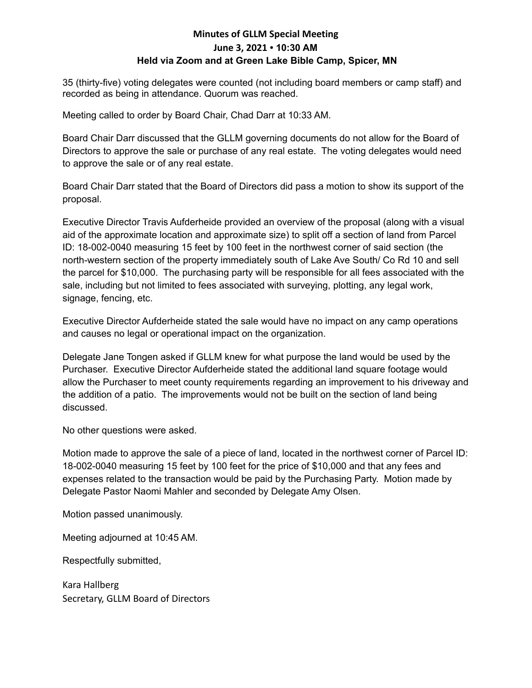# **Minutes of GLLM Special Meeting June 3, 2021 • 10:30 AM Held via Zoom and at Green Lake Bible Camp, Spicer, MN**

35 (thirty-five) voting delegates were counted (not including board members or camp staff) and recorded as being in attendance. Quorum was reached.

Meeting called to order by Board Chair, Chad Darr at 10:33 AM.

Board Chair Darr discussed that the GLLM governing documents do not allow for the Board of Directors to approve the sale or purchase of any real estate. The voting delegates would need to approve the sale or of any real estate.

Board Chair Darr stated that the Board of Directors did pass a motion to show its support of the proposal.

Executive Director Travis Aufderheide provided an overview of the proposal (along with a visual aid of the approximate location and approximate size) to split off a section of land from Parcel ID: 18-002-0040 measuring 15 feet by 100 feet in the northwest corner of said section (the north-western section of the property immediately south of Lake Ave South/ Co Rd 10 and sell the parcel for \$10,000. The purchasing party will be responsible for all fees associated with the sale, including but not limited to fees associated with surveying, plotting, any legal work, signage, fencing, etc.

Executive Director Aufderheide stated the sale would have no impact on any camp operations and causes no legal or operational impact on the organization.

Delegate Jane Tongen asked if GLLM knew for what purpose the land would be used by the Purchaser. Executive Director Aufderheide stated the additional land square footage would allow the Purchaser to meet county requirements regarding an improvement to his driveway and the addition of a patio. The improvements would not be built on the section of land being discussed.

No other questions were asked.

Motion made to approve the sale of a piece of land, located in the northwest corner of Parcel ID: 18-002-0040 measuring 15 feet by 100 feet for the price of \$10,000 and that any fees and expenses related to the transaction would be paid by the Purchasing Party. Motion made by Delegate Pastor Naomi Mahler and seconded by Delegate Amy Olsen.

Motion passed unanimously.

Meeting adjourned at 10:45 AM.

Respectfully submitted,

Kara Hallberg Secretary, GLLM Board of Directors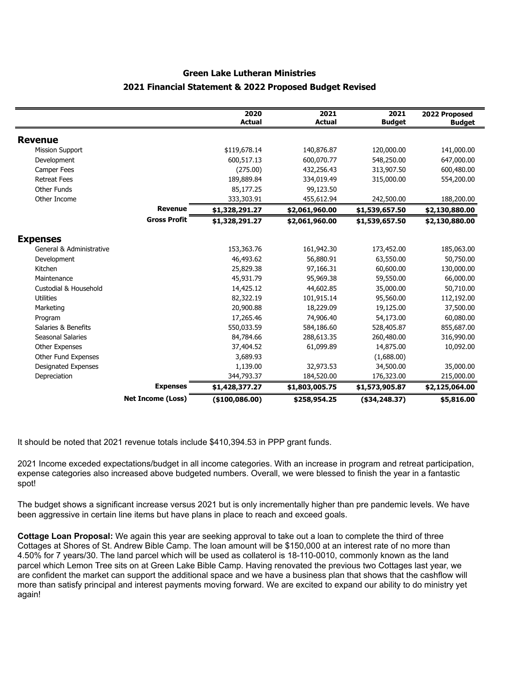# **Green Lake Lutheran Ministries 2021 Financial Statement & 2022 Proposed Budget Revised**

|                            |                          | 2020<br><b>Actual</b> | 2021<br><b>Actual</b> | 2021<br><b>Budget</b> | 2022 Proposed<br><b>Budget</b> |
|----------------------------|--------------------------|-----------------------|-----------------------|-----------------------|--------------------------------|
| <b>Revenue</b>             |                          |                       |                       |                       |                                |
| <b>Mission Support</b>     |                          | \$119,678.14          | 140,876.87            | 120,000.00            | 141,000.00                     |
| Development                |                          | 600,517.13            | 600,070.77            | 548,250.00            | 647,000.00                     |
| Camper Fees                |                          | (275.00)              | 432,256.43            | 313,907.50            | 600,480.00                     |
| <b>Retreat Fees</b>        |                          | 189,889.84            | 334,019.49            | 315,000.00            | 554,200.00                     |
| Other Funds                |                          | 85,177.25             | 99,123.50             |                       |                                |
| Other Income               |                          | 333,303.91            | 455,612.94            | 242,500.00            | 188,200.00                     |
|                            | <b>Revenue</b>           | \$1,328,291.27        | \$2,061,960.00        | \$1,539,657.50        | \$2,130,880.00                 |
|                            | <b>Gross Profit</b>      | \$1,328,291.27        | \$2,061,960.00        | \$1,539,657.50        | \$2,130,880.00                 |
| <b>Expenses</b>            |                          |                       |                       |                       |                                |
| General & Administrative   |                          | 153,363.76            | 161,942.30            | 173,452.00            | 185,063.00                     |
| Development                |                          | 46,493.62             | 56,880.91             | 63,550.00             | 50,750.00                      |
| Kitchen                    |                          | 25,829.38             | 97,166.31             | 60,600.00             | 130,000.00                     |
| Maintenance                |                          | 45,931.79             | 95,969.38             | 59,550.00             | 66,000.00                      |
| Custodial & Household      |                          | 14,425.12             | 44,602.85             | 35,000.00             | 50,710.00                      |
| <b>Utilities</b>           |                          | 82,322.19             | 101,915.14            | 95,560.00             | 112,192.00                     |
| Marketing                  |                          | 20,900.88             | 18,229.09             | 19,125.00             | 37,500.00                      |
| Program                    |                          | 17,265.46             | 74,906.40             | 54,173.00             | 60,080.00                      |
| Salaries & Benefits        |                          | 550,033.59            | 584,186.60            | 528,405.87            | 855,687.00                     |
| Seasonal Salaries          |                          | 84,784.66             | 288,613.35            | 260,480.00            | 316,990.00                     |
| <b>Other Expenses</b>      |                          | 37,404.52             | 61,099.89             | 14,875.00             | 10,092.00                      |
| Other Fund Expenses        |                          | 3,689.93              |                       | (1,688.00)            |                                |
| <b>Designated Expenses</b> |                          | 1,139.00              | 32,973.53             | 34,500.00             | 35,000.00                      |
| Depreciation               |                          | 344,793.37            | 184,520.00            | 176,323.00            | 215,000.00                     |
|                            | <b>Expenses</b>          | \$1,428,377.27        | \$1,803,005.75        | \$1,573,905.87        | \$2,125,064.00                 |
|                            | <b>Net Income (Loss)</b> | ( \$100,086.00)       | \$258,954.25          | $($ \$34,248.37)      | \$5,816.00                     |

It should be noted that 2021 revenue totals include \$410,394.53 in PPP grant funds.

2021 Income exceded expectations/budget in all income categories. With an increase in program and retreat participation, expense categories also increased above budgeted numbers. Overall, we were blessed to finish the year in a fantastic spot!

The budget shows a significant increase versus 2021 but is only incrementally higher than pre pandemic levels. We have been aggressive in certain line items but have plans in place to reach and exceed goals.

**Cottage Loan Proposal:** We again this year are seeking approval to take out a loan to complete the third of three Cottages at Shores of St. Andrew Bible Camp. The loan amount will be \$150,000 at an interest rate of no more than 4.50% for 7 years/30. The land parcel which will be used as collaterol is 18-110-0010, commonly known as the land parcel which Lemon Tree sits on at Green Lake Bible Camp. Having renovated the previous two Cottages last year, we are confident the market can support the additional space and we have a business plan that shows that the cashflow will more than satisfy principal and interest payments moving forward. We are excited to expand our ability to do ministry yet again!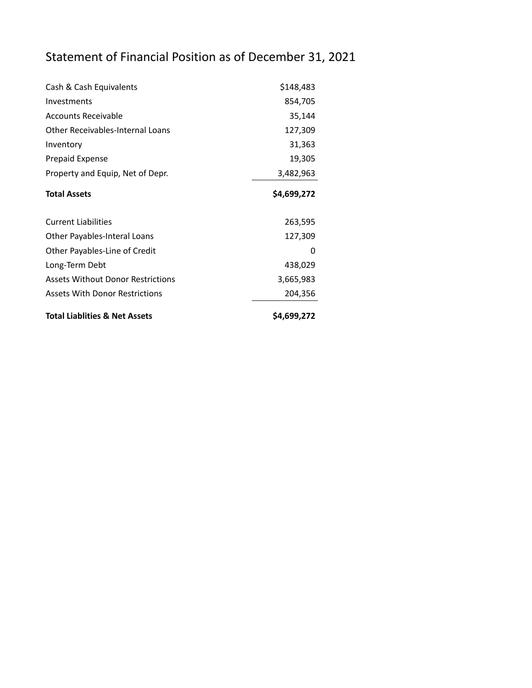# Statement of Financial Position as of December 31, 2021

| Cash & Cash Equivalents                  | \$148,483   |  |  |  |
|------------------------------------------|-------------|--|--|--|
| Investments                              | 854,705     |  |  |  |
| <b>Accounts Receivable</b>               | 35,144      |  |  |  |
| <b>Other Receivables-Internal Loans</b>  | 127,309     |  |  |  |
| Inventory                                | 31,363      |  |  |  |
| Prepaid Expense                          | 19,305      |  |  |  |
| Property and Equip, Net of Depr.         | 3,482,963   |  |  |  |
| <b>Total Assets</b>                      | \$4,699,272 |  |  |  |
| <b>Current Liabilities</b>               | 263,595     |  |  |  |
| Other Payables-Interal Loans             | 127,309     |  |  |  |
| Other Payables-Line of Credit            | O           |  |  |  |
| Long-Term Debt                           | 438,029     |  |  |  |
| <b>Assets Without Donor Restrictions</b> | 3,665,983   |  |  |  |
| <b>Assets With Donor Restrictions</b>    | 204,356     |  |  |  |
| <b>Total Liablities &amp; Net Assets</b> | \$4,699,272 |  |  |  |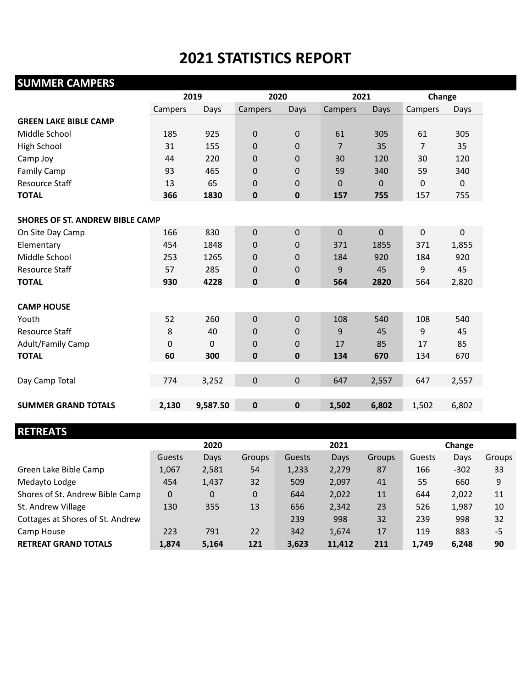# **2021 STATISTICS REPORT**

# **SUMMER CAMPERS 2019 2020 2021 Change** Campers Days Campers Days Campers Days Campers Days **GREEN LAKE BIBLE CAMP** Middle School 185 925 0 0 61 305 61 305 High School 31 155 0 0 7 35 7 35 Camp Joy 44 220 0 0 30 120 30 120 Family Camp 93 465 0 0 59 340 59 340 Resource Staff 13 65 0 0 0 0 0 0 **TOTAL 366 1830 0 0 157 755** 157 755 **SHORES OF ST. ANDREW BIBLE CAMP** On Site Day Camp 166 830 0 0 0 0 0 0 0 0 0 Elementary 454 1848 0 0 371 1855 371 1,855 Middle School 253 1265 0 0 184 920 184 920 Resource Staff **57** 285 0 0 9 45 9 45 **TOTAL 930 4228 0 0 564 2820** 564 2,820 **CAMP HOUSE** Youth 52 260 0 0 108 540 108 540 Resource Staff **8** 40 0 0 9 45 9 45 Adult/Family Camp 0 0 0 0 0 17 85 17 85 **TOTAL 60 300 0 0 134 670** 134 670 Day Camp Total 774 3,252 0 0 647 2,557 647 2,557

**SUMMER GRAND TOTALS 2,130 9,587.50 0 0 1,502 6,802** 1,502 6,802

# **RETREATS**

|                                  | 2020     |       |             | 2021   |        |               | Change |        |        |
|----------------------------------|----------|-------|-------------|--------|--------|---------------|--------|--------|--------|
|                                  | Guests   | Days  | Groups      | Guests | Days   | <b>Groups</b> | Guests | Days   | Groups |
| Green Lake Bible Camp            | 1,067    | 2,581 | 54          | 1,233  | 2,279  | 87            | 166    | $-302$ | 33     |
| Medayto Lodge                    | 454      | 1,437 | 32          | 509    | 2,097  | 41            | 55     | 660    | 9      |
| Shores of St. Andrew Bible Camp  | $\Omega$ | 0     | $\mathbf 0$ | 644    | 2,022  | 11            | 644    | 2,022  | 11     |
| St. Andrew Village               | 130      | 355   | 13          | 656    | 2,342  | 23            | 526    | 1,987  | 10     |
| Cottages at Shores of St. Andrew |          |       |             | 239    | 998    | 32            | 239    | 998    | 32     |
| Camp House                       | 223      | 791   | 22          | 342    | 1,674  | 17            | 119    | 883    | $-5$   |
| <b>RETREAT GRAND TOTALS</b>      | 1,874    | 5,164 | 121         | 3,623  | 11,412 | 211           | 1,749  | 6,248  | 90     |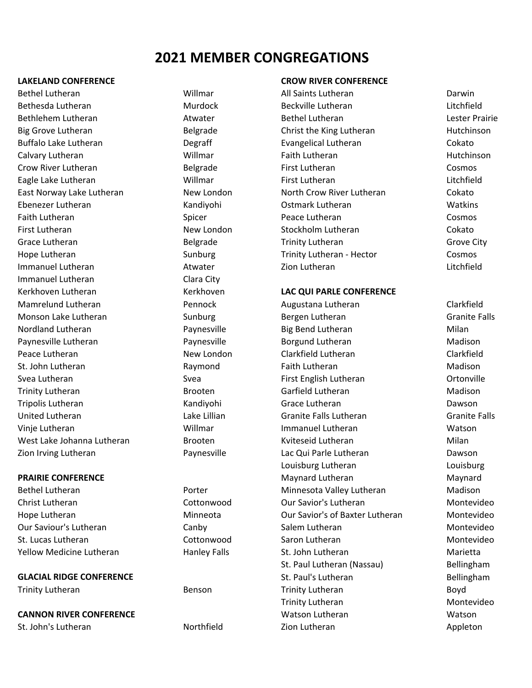# **2021 MEMBER CONGREGATIONS**

Bethel Lutheran **Matter and Millmar** All Saints Lutheran Darwin Darwin Bethesda Lutheran Murdock Beckville Lutheran Litchfield Bethlehem Lutheran **Bethel Lutheran** Bethel Lutheran Lester Prairie Lester Prairie Big Grove Lutheran **Belgrade** Belgrade Christ the King Lutheran Hutchinson Buffalo Lake Lutheran Degraff Evangelical Lutheran Cokato Calvary Lutheran Willmar Faith Lutheran Hutchinson Crow River Lutheran Belgrade First Lutheran Cosmos Eagle Lake Lutheran Willmar First Lutheran Litchfield East Norway Lake Lutheran New London North Crow River Lutheran Cokato Ebenezer Lutheran Kandiyohi Ostmark Lutheran Watkins Faith Lutheran Cosmos Cosmos Spicer Cosmos Cosmos Peace Lutheran Cosmos Cosmos First Lutheran The Collection Collection New London Stockholm Lutheran The Collection Cokato Grace Lutheran **Grace City** Belgrade **Trinity Lutheran** Grove City Hope Lutheran 
Trinity Lutheran Frinity Lutheran - Hector Cosmos Immanuel Lutheran **Atwater** Atwater **Litchfield Constanting Litchfield Constanting Litchfield Litchfield** Immanuel Lutheran Clara City Kerkhoven Lutheran **Kerkhoven** 

# **PRAIRIE CONFERENCE**

**GLACIAL RIDGE CONFERENCE**

**CANNON RIVER CONFERENCE**

### **LAKELAND CONFERENCE CROW RIVER CONFERENCE**

# **LAC QUI PARLE CONFERENCE**

Mamrelund Lutheran Pennock Augustana Lutheran Clarkfield Monson Lake Lutheran The Sunburg Sunburg Bergen Lutheran Granite Falls Nordland Lutheran **National Paynesville** Big Bend Lutheran Milan Paynesville Lutheran **Paynesville** Borgund Lutheran **Madison** Borgund Lutheran Madison Peace Lutheran **New London** Clarkfield Lutheran Clarkfield Lutheran Clarkfield St. John Lutheran **Raymond** Faith Lutheran Madison Svea Lutheran The Communication of Svea Svea First English Lutheran The Cortonville Trinity Lutheran **Madison** Brooten Garfield Lutheran Garticular Madison Tripolis Lutheran Kandiyohi Grace Lutheran Dawson United Lutheran Lake Lillian Granite Falls Lutheran Granite Falls Vinje Lutheran Willmar Immanuel Lutheran Watson West Lake Johanna Lutheran **Brooten** Brooten Kyiteseid Lutheran Milan Zion Irving Lutheran **Nation 2018** Paynesville **Lac Qui Parle Lutheran** Dawson Louisburg Lutheran Louisburg Maynard Lutheran Maynard Bethel Lutheran **Minnesota Valley Lutheran** Madison Christ Lutheran Cottonwood Our Savior's Lutheran Montevideo Hope Lutheran **Munneota** Minneota **Care Contracts** Our Savior's of Baxter Lutheran Montevideo Our Saviour's Lutheran Canby Salem Lutheran Montevideo St. Lucas Lutheran Cottonwood Saron Lutheran Montevideo Yellow Medicine Lutheran Thanley Falls St. John Lutheran Marietta St. Paul Lutheran (Nassau) Bellingham St. Paul's Lutheran Bellingham Trinity Lutheran Benson Trinity Lutheran Boyd Trinity Lutheran Montevideo Watson Lutheran Watson St. John's Lutheran **Northfield Zion Lutheran Zion Lutheran** Appleton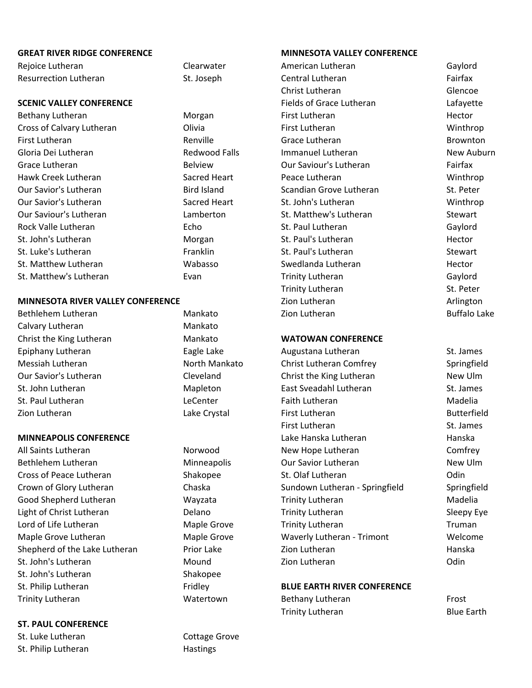### **GREAT RIVER RIDGE CONFERENCE MINNESOTA VALLEY CONFERENCE**

Rejoice Lutheran Clearwater Clearwater American Lutheran Caylord Resurrection Lutheran **St. Joseph Central Lutheran** Central Lutheran Fairfax

# **SCENIC VALLEY CONFERENCE**

# **MINNESOTA RIVER VALLEY CONFERENCE**

Bethlehem Lutheran Mankato Zion Lutheran Buffalo Lake Calvary Lutheran Mankato Christ the King Lutheran Mankato

# **MINNEAPOLIS CONFERENCE**

St. John's Lutheran **Communist Communist Communist Communist Communist Communist Communist Communist Communist Communist Communist Communist Communist Communist Communist Communist Communist Communist Communist Communist C** St. John's Lutheran Shakopee St. Philip Lutheran Fridley Trinity Lutheran Watertown Bethany Lutheran Frost

# **ST. PAUL CONFERENCE**

St. Luke Lutheran Cottage Grove St. Philip Lutheran Hastings

Christ Lutheran Glencoe Fields of Grace Lutheran The Lafayette Bethany Lutheran **First Lutheran** Hector Morgan **First Lutheran** First Lutheran Hector Cross of Calvary Lutheran Olivia First Lutheran Winthrop First Lutheran Renville Grace Lutheran Brownton Gloria Dei Lutheran **Redwood Falls** Immanuel Lutheran New Auburn Grace Lutheran **Belview** Belview Our Saviour's Lutheran **Fairfax** Hawk Creek Lutheran Sacred Heart Peace Lutheran Winthrop Our Savior's Lutheran Bird Island Scandian Grove Lutheran St. Peter Our Savior's Lutheran Theory Sacred Heart St. John's Lutheran Number of Winthrop Our Saviour's Lutheran Lamberton St. Matthew's Lutheran Stewart Rock Valle Lutheran Echo St. Paul Lutheran Gaylord St. John's Lutheran **St. Paul's Lutheran** Hector Hector **Morgan** St. Paul's Lutheran Hector St. Luke's Lutheran The Communisties of the Franklin St. Paul's Lutheran The Stewart St. Matthew Lutheran 
St. Matthew Lutheran 
St. Matthew Lutheran 
Hector  $\blacksquare$  Wabasso  $\blacksquare$  Swedlanda Lutheran St. Matthew's Lutheran **Evan** Evan Trinity Lutheran Gaylord Trinity Lutheran St. Peter Zion Lutheran **Arlington** 

## **WATOWAN CONFERENCE**

Epiphany Lutheran **Eagle Lake** Augustana Lutheran St. James Messiah Lutheran **North Mankato** Christ Lutheran Comfrey Springfield Our Savior's Lutheran Cleveland Christ the King Lutheran New Ulm St. John Lutheran **East Sveadahl Lutheran** St. James St. Paul Lutheran **Example 20** Lecenter **Faith Lutheran** Faith Lutheran Madelia Zion Lutheran Lake Crystal First Lutheran Butterfield First Lutheran St. James Lake Hanska Lutheran **Hanska** All Saints Lutheran **Norwood** New Hope Lutheran **Comfrey** Bethlehem Lutheran **Minneapolis** Cur Savior Lutheran New Ulm Cross of Peace Lutheran The Shakopee St. Olaf Lutheran Codin Codin Crown of Glory Lutheran Chaska Sundown Lutheran ‐ Springfield Springfield Good Shepherd Lutheran Wayzata Trinity Lutheran Madelia Light of Christ Lutheran Delano Trinity Lutheran Sleepy Eye Lord of Life Lutheran Truman Maple Grove Trinity Lutheran Truman Truman Maple Grove Lutheran Maple Grove Waverly Lutheran ‐ Trimont Welcome Shepherd of the Lake Lutheran **Prior Lake** Zion Lutheran Hanska

# **BLUE EARTH RIVER CONFERENCE**

Trinity Lutheran **Blue Earth**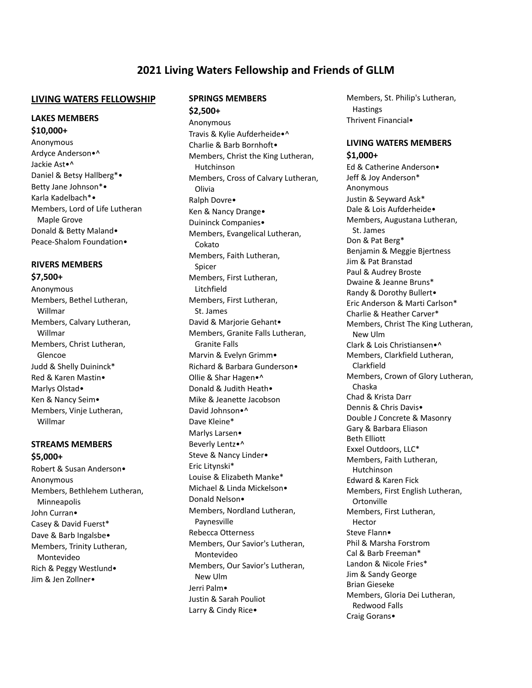# **2021 Living Waters Fellowship and Friends of GLLM**

#### **LIVING WATERS FELLOWSHIP**

#### **LAKES MEMBERS \$10,000+**

Anonymous Ardyce Anderson•^ Jackie Ast•^ Daniel & Betsy Hallberg\*• Betty Jane Johnson\*• Karla Kadelbach\*• Members, Lord of Life Lutheran Maple Grove Donald & Betty Maland• Peace-Shalom Foundation•

# **RIVERS MEMBERS**

# **\$7,500+**

Anonymous Members, Bethel Lutheran, Willmar Members, Calvary Lutheran, Willmar Members, Christ Lutheran, Glencoe Judd & Shelly Duininck\* Red & Karen Mastin• Marlys Olstad• Ken & Nancy Seim• Members, Vinje Lutheran, Willmar

# **STREAMS MEMBERS**

**\$5,000+** Robert & Susan Anderson• Anonymous Members, Bethlehem Lutheran, Minneapolis John Curran• Casey & David Fuerst\* Dave & Barb Ingalsbe• Members, Trinity Lutheran, Montevideo Rich & Peggy Westlund• Jim & Jen Zollner•

# **SPRINGS MEMBERS**

**\$2,500+** Anonymous Travis & Kylie Aufderheide•^ Charlie & Barb Bornhoft• Members, Christ the King Lutheran, Hutchinson Members, Cross of Calvary Lutheran, Olivia Ralph Dovre• Ken & Nancy Drange• Duininck Companies• Members, Evangelical Lutheran, Cokato Members, Faith Lutheran, Spicer Members, First Lutheran, Litchfield Members, First Lutheran, St. James David & Marjorie Gehant• Members, Granite Falls Lutheran, Granite Falls Marvin & Evelyn Grimm• Richard & Barbara Gunderson• Ollie & Shar Hagen•^ Donald & Judith Heath• Mike & Jeanette Jacobson David Johnson•^ Dave Kleine\* Marlys Larsen• Beverly Lentz•^ Steve & Nancy Linder• Eric Litynski\* Louise & Elizabeth Manke\* Michael & Linda Mickelson• Donald Nelson• Members, Nordland Lutheran, Paynesville Rebecca Otterness Members, Our Savior's Lutheran, Montevideo Members, Our Savior's Lutheran, New Ulm Jerri Palm• Justin & Sarah Pouliot Larry & Cindy Rice•

Members, St. Philip's Lutheran, **Hastings** Thrivent Financial•

# **LIVING WATERS MEMBERS \$1,000+**

Ed & Catherine Anderson• Jeff & Joy Anderson\* Anonymous Justin & Seyward Ask\* Dale & Lois Aufderheide• Members, Augustana Lutheran, St. James Don & Pat Berg\* Benjamin & Meggie Bjertness Jim & Pat Branstad Paul & Audrey Broste Dwaine & Jeanne Bruns\* Randy & Dorothy Bullert• Eric Anderson & Marti Carlson\* Charlie & Heather Carver\* Members, Christ The King Lutheran, New Ulm Clark & Lois Christiansen•^ Members, Clarkfield Lutheran, Clarkfield Members, Crown of Glory Lutheran, Chaska Chad & Krista Darr Dennis & Chris Davis• Double J Concrete & Masonry Gary & Barbara Eliason Beth Elliott Exxel Outdoors, LLC\* Members, Faith Lutheran, Hutchinson Edward & Karen Fick Members, First English Lutheran, Ortonville Members, First Lutheran, Hector Steve Flann• Phil & Marsha Forstrom Cal & Barb Freeman\* Landon & Nicole Fries\* Jim & Sandy George Brian Gieseke Members, Gloria Dei Lutheran, Redwood Falls Craig Gorans•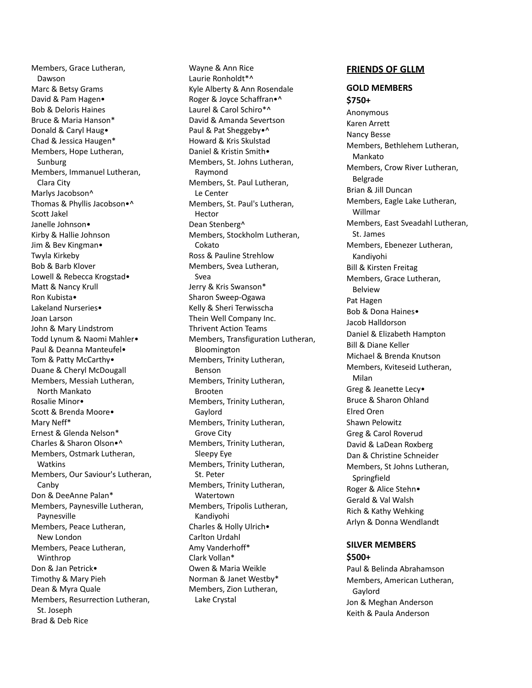Members, Grace Lutheran, Dawson Marc & Betsy Grams David & Pam Hagen• Bob & Deloris Haines Bruce & Maria Hanson\* Donald & Caryl Haug• Chad & Jessica Haugen\* Members, Hope Lutheran, Sunburg Members, Immanuel Lutheran, Clara City Marlys Jacobson^ Thomas & Phyllis Jacobson•^ Scott Jakel Janelle Johnson• Kirby & Hallie Johnson Jim & Bev Kingman• Twyla Kirkeby Bob & Barb Klover Lowell & Rebecca Krogstad• Matt & Nancy Krull Ron Kubista• Lakeland Nurseries• Joan Larson John & Mary Lindstrom Todd Lynum & Naomi Mahler• Paul & Deanna Manteufel• Tom & Patty McCarthy• Duane & Cheryl McDougall Members, Messiah Lutheran, North Mankato Rosalie Minor• Scott & Brenda Moore• Mary Neff\* Ernest & Glenda Nelson\* Charles & Sharon Olson•^ Members, Ostmark Lutheran, Watkins Members, Our Saviour's Lutheran, Canby Don & DeeAnne Palan\* Members, Paynesville Lutheran, Paynesville Members, Peace Lutheran, New London Members, Peace Lutheran, Winthrop Don & Jan Petrick• Timothy & Mary Pieh Dean & Myra Quale Members, Resurrection Lutheran, St. Joseph Brad & Deb Rice

Wayne & Ann Rice Laurie Ronholdt\*^ Kyle Alberty & Ann Rosendale Roger & Joyce Schaffran•^ Laurel & Carol Schiro\*^ David & Amanda Severtson Paul & Pat Sheggeby•^ Howard & Kris Skulstad Daniel & Kristin Smith• Members, St. Johns Lutheran, Raymond Members, St. Paul Lutheran, Le Center Members, St. Paul's Lutheran, Hector Dean Stenberg^ Members, Stockholm Lutheran, Cokato Ross & Pauline Strehlow Members, Svea Lutheran, Svea Jerry & Kris Swanson\* Sharon Sweep-Ogawa Kelly & Sheri Terwisscha Thein Well Company Inc. Thrivent Action Teams Members, Transfiguration Lutheran, Bloomington Members, Trinity Lutheran, Benson Members, Trinity Lutheran, Brooten Members, Trinity Lutheran, Gaylord Members, Trinity Lutheran, Grove City Members, Trinity Lutheran, Sleepy Eye Members, Trinity Lutheran, St. Peter Members, Trinity Lutheran, Watertown Members, Tripolis Lutheran, Kandiyohi Charles & Holly Ulrich• Carlton Urdahl Amy Vanderhoff\* Clark Vollan\* Owen & Maria Weikle Norman & Janet Westby\* Members, Zion Lutheran, Lake Crystal

#### **FRIENDS OF GLLM**

#### **GOLD MEMBERS \$750+**

Anonymous Karen Arrett Nancy Besse Members, Bethlehem Lutheran, Mankato Members, Crow River Lutheran, Belgrade Brian & Jill Duncan Members, Eagle Lake Lutheran, Willmar Members, East Sveadahl Lutheran, St. James Members, Ebenezer Lutheran, Kandiyohi Bill & Kirsten Freitag Members, Grace Lutheran, Belview Pat Hagen Bob & Dona Haines• Jacob Halldorson Daniel & Elizabeth Hampton Bill & Diane Keller Michael & Brenda Knutson Members, Kviteseid Lutheran, Milan Greg & Jeanette Lecy• Bruce & Sharon Ohland Elred Oren Shawn Pelowitz Greg & Carol Roverud David & LaDean Roxberg Dan & Christine Schneider Members, St Johns Lutheran, Springfield Roger & Alice Stehn• Gerald & Val Walsh Rich & Kathy Wehking Arlyn & Donna Wendlandt

#### **SILVER MEMBERS \$500+**

Paul & Belinda Abrahamson Members, American Lutheran, Gaylord Jon & Meghan Anderson Keith & Paula Anderson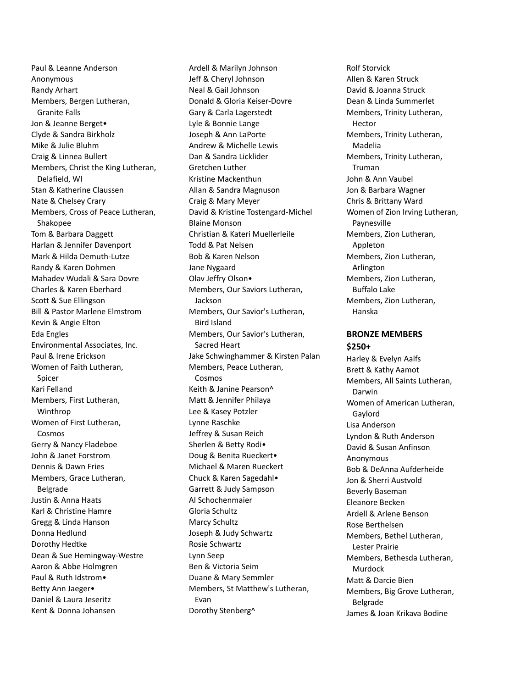Paul & Leanne Anderson Anonymous Randy Arhart Members, Bergen Lutheran, Granite Falls Jon & Jeanne Berget• Clyde & Sandra Birkholz Mike & Julie Bluhm Craig & Linnea Bullert Members, Christ the King Lutheran, Delafield, WI Stan & Katherine Claussen Nate & Chelsey Crary Members, Cross of Peace Lutheran, Shakopee Tom & Barbara Daggett Harlan & Jennifer Davenport Mark & Hilda Demuth-Lutze Randy & Karen Dohmen Mahadev Wudali & Sara Dovre Charles & Karen Eberhard Scott & Sue Ellingson Bill & Pastor Marlene Elmstrom Kevin & Angie Elton Eda Engles Environmental Associates, Inc. Paul & Irene Erickson Women of Faith Lutheran, Spicer Kari Felland Members, First Lutheran, Winthrop Women of First Lutheran, Cosmos Gerry & Nancy Fladeboe John & Janet Forstrom Dennis & Dawn Fries Members, Grace Lutheran, Belgrade Justin & Anna Haats Karl & Christine Hamre Gregg & Linda Hanson Donna Hedlund Dorothy Hedtke Dean & Sue Hemingway-Westre Aaron & Abbe Holmgren Paul & Ruth Idstrom• Betty Ann Jaeger• Daniel & Laura Jeseritz Kent & Donna Johansen

Ardell & Marilyn Johnson Jeff & Cheryl Johnson Neal & Gail Johnson Donald & Gloria Keiser-Dovre Gary & Carla Lagerstedt Lyle & Bonnie Lange Joseph & Ann LaPorte Andrew & Michelle Lewis Dan & Sandra Licklider Gretchen Luther Kristine Mackenthun Allan & Sandra Magnuson Craig & Mary Meyer David & Kristine Tostengard-Michel Blaine Monson Christian & Kateri Muellerleile Todd & Pat Nelsen Bob & Karen Nelson Jane Nygaard Olav Jeffry Olson• Members, Our Saviors Lutheran, Jackson Members, Our Savior's Lutheran, Bird Island Members, Our Savior's Lutheran, Sacred Heart Jake Schwinghammer & Kirsten Palan Members, Peace Lutheran, Cosmos Keith & Janine Pearson^ Matt & Jennifer Philaya Lee & Kasey Potzler Lynne Raschke Jeffrey & Susan Reich Sherlen & Betty Rodi• Doug & Benita Rueckert• Michael & Maren Rueckert Chuck & Karen Sagedahl• Garrett & Judy Sampson Al Schochenmaier Gloria Schultz Marcy Schultz Joseph & Judy Schwartz Rosie Schwartz Lynn Seep Ben & Victoria Seim Duane & Mary Semmler Members, St Matthew's Lutheran, Evan Dorothy Stenberg^

Rolf Storvick Allen & Karen Struck David & Joanna Struck Dean & Linda Summerlet Members, Trinity Lutheran, Hector Members, Trinity Lutheran, Madelia Members, Trinity Lutheran, Truman John & Ann Vaubel Jon & Barbara Wagner Chris & Brittany Ward Women of Zion Irving Lutheran, Paynesville Members, Zion Lutheran, Appleton Members, Zion Lutheran, Arlington Members, Zion Lutheran, Buffalo Lake Members, Zion Lutheran, Hanska

### **BRONZE MEMBERS \$250+**

Harley & Evelyn Aalfs Brett & Kathy Aamot Members, All Saints Lutheran, Darwin Women of American Lutheran, Gaylord Lisa Anderson Lyndon & Ruth Anderson David & Susan Anfinson Anonymous Bob & DeAnna Aufderheide Jon & Sherri Austvold Beverly Baseman Eleanore Becken Ardell & Arlene Benson Rose Berthelsen Members, Bethel Lutheran, Lester Prairie Members, Bethesda Lutheran, Murdock Matt & Darcie Bien Members, Big Grove Lutheran, Belgrade James & Joan Krikava Bodine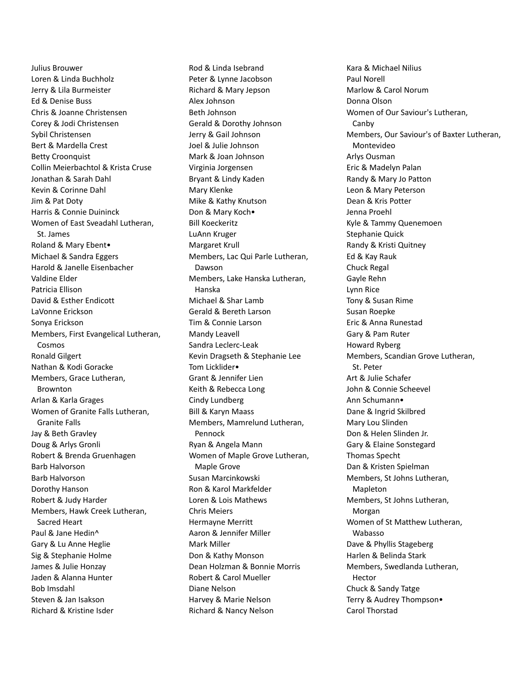Julius Brouwer Loren & Linda Buchholz Jerry & Lila Burmeister Ed & Denise Buss Chris & Joanne Christensen Corey & Jodi Christensen Sybil Christensen Bert & Mardella Crest Betty Croonquist Collin Meierbachtol & Krista Cruse Jonathan & Sarah Dahl Kevin & Corinne Dahl Jim & Pat Doty Harris & Connie Duininck Women of East Sveadahl Lutheran, St. James Roland & Mary Ebent• Michael & Sandra Eggers Harold & Janelle Eisenbacher Valdine Elder Patricia Ellison David & Esther Endicott LaVonne Erickson Sonya Erickson Members, First Evangelical Lutheran, Cosmos Ronald Gilgert Nathan & Kodi Goracke Members, Grace Lutheran, Brownton Arlan & Karla Grages Women of Granite Falls Lutheran, Granite Falls Jay & Beth Gravley Doug & Arlys Gronli Robert & Brenda Gruenhagen Barb Halvorson Barb Halvorson Dorothy Hanson Robert & Judy Harder Members, Hawk Creek Lutheran, Sacred Heart Paul & Jane Hedin^ Gary & Lu Anne Heglie Sig & Stephanie Holme James & Julie Honzay Jaden & Alanna Hunter Bob Imsdahl Steven & Jan Isakson Richard & Kristine Isder

Rod & Linda Isebrand Peter & Lynne Jacobson Richard & Mary Jepson Alex Johnson Beth Johnson Gerald & Dorothy Johnson Jerry & Gail Johnson Joel & Julie Johnson Mark & Joan Johnson Virginia Jorgensen Bryant & Lindy Kaden Mary Klenke Mike & Kathy Knutson Don & Mary Koch• Bill Koeckeritz LuAnn Kruger Margaret Krull Members, Lac Qui Parle Lutheran, Dawson Members, Lake Hanska Lutheran, Hanska Michael & Shar Lamb Gerald & Bereth Larson Tim & Connie Larson Mandy Leavell Sandra Leclerc-Leak Kevin Dragseth & Stephanie Lee Tom Licklider• Grant & Jennifer Lien Keith & Rebecca Long Cindy Lundberg Bill & Karyn Maass Members, Mamrelund Lutheran, Pennock Ryan & Angela Mann Women of Maple Grove Lutheran, Maple Grove Susan Marcinkowski Ron & Karol Markfelder Loren & Lois Mathews Chris Meiers Hermayne Merritt Aaron & Jennifer Miller Mark Miller Don & Kathy Monson Dean Holzman & Bonnie Morris Robert & Carol Mueller Diane Nelson Harvey & Marie Nelson Richard & Nancy Nelson

Kara & Michael Nilius Paul Norell Marlow & Carol Norum Donna Olson Women of Our Saviour's Lutheran, Canby Members, Our Saviour's of Baxter Lutheran, Montevideo Arlys Ousman Eric & Madelyn Palan Randy & Mary Jo Patton Leon & Mary Peterson Dean & Kris Potter Jenna Proehl Kyle & Tammy Quenemoen Stephanie Quick Randy & Kristi Quitney Ed & Kay Rauk Chuck Regal Gayle Rehn Lynn Rice Tony & Susan Rime Susan Roepke Eric & Anna Runestad Gary & Pam Ruter Howard Ryberg Members, Scandian Grove Lutheran, St. Peter Art & Julie Schafer John & Connie Scheevel Ann Schumann• Dane & Ingrid Skilbred Mary Lou Slinden Don & Helen Slinden Jr. Gary & Elaine Sonstegard Thomas Specht Dan & Kristen Spielman Members, St Johns Lutheran, Mapleton Members, St Johns Lutheran, Morgan Women of St Matthew Lutheran, Wabasso Dave & Phyllis Stageberg Harlen & Belinda Stark Members, Swedlanda Lutheran, Hector Chuck & Sandy Tatge Terry & Audrey Thompson• Carol Thorstad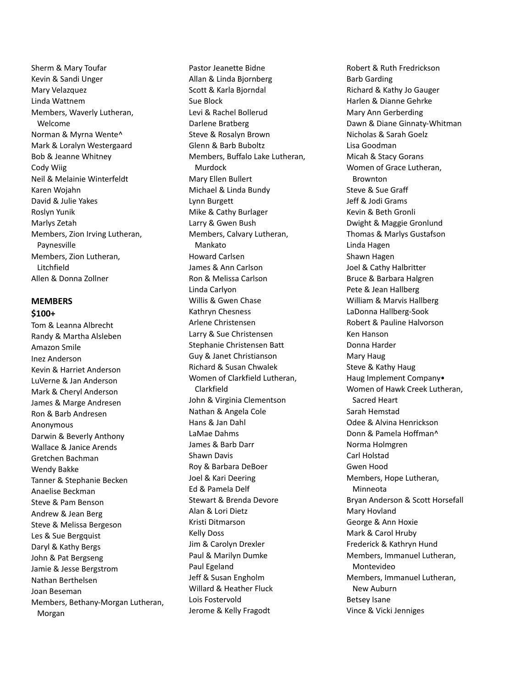Sherm & Mary Toufar Kevin & Sandi Unger Mary Velazquez Linda Wattnem Members, Waverly Lutheran, Welcome Norman & Myrna Wente^ Mark & Loralyn Westergaard Bob & Jeanne Whitney Cody Wiig Neil & Melainie Winterfeldt Karen Wojahn David & Julie Yakes Roslyn Yunik Marlys Zetah Members, Zion Irving Lutheran, Paynesville Members, Zion Lutheran, Litchfield Allen & Donna Zollner

## **MEMBERS \$100+**

Tom & Leanna Albrecht Randy & Martha Alsleben Amazon Smile Inez Anderson Kevin & Harriet Anderson LuVerne & Jan Anderson Mark & Cheryl Anderson James & Marge Andresen Ron & Barb Andresen Anonymous Darwin & Beverly Anthony Wallace & Janice Arends Gretchen Bachman Wendy Bakke Tanner & Stephanie Becken Anaelise Beckman Steve & Pam Benson Andrew & Jean Berg Steve & Melissa Bergeson Les & Sue Bergquist Daryl & Kathy Bergs John & Pat Bergseng Jamie & Jesse Bergstrom Nathan Berthelsen Joan Beseman Members, Bethany-Morgan Lutheran, Morgan

Pastor Jeanette Bidne Allan & Linda Bjornberg Scott & Karla Bjorndal Sue Block Levi & Rachel Bollerud Darlene Bratberg Steve & Rosalyn Brown Glenn & Barb Buboltz Members, Buffalo Lake Lutheran, Murdock Mary Ellen Bullert Michael & Linda Bundy Lynn Burgett Mike & Cathy Burlager Larry & Gwen Bush Members, Calvary Lutheran, Mankato Howard Carlsen James & Ann Carlson Ron & Melissa Carlson Linda Carlyon Willis & Gwen Chase Kathryn Chesness Arlene Christensen Larry & Sue Christensen Stephanie Christensen Batt Guy & Janet Christianson Richard & Susan Chwalek Women of Clarkfield Lutheran, Clarkfield John & Virginia Clementson Nathan & Angela Cole Hans & Jan Dahl LaMae Dahms James & Barb Darr Shawn Davis Roy & Barbara DeBoer Joel & Kari Deering Ed & Pamela Delf Stewart & Brenda Devore Alan & Lori Dietz Kristi Ditmarson Kelly Doss Jim & Carolyn Drexler Paul & Marilyn Dumke Paul Egeland Jeff & Susan Engholm Willard & Heather Fluck Lois Fostervold Jerome & Kelly Fragodt

Robert & Ruth Fredrickson Barb Garding Richard & Kathy Jo Gauger Harlen & Dianne Gehrke Mary Ann Gerberding Dawn & Diane Ginnaty-Whitman Nicholas & Sarah Goelz Lisa Goodman Micah & Stacy Gorans Women of Grace Lutheran, Brownton Steve & Sue Graff Jeff & Jodi Grams Kevin & Beth Gronli Dwight & Maggie Gronlund Thomas & Marlys Gustafson Linda Hagen Shawn Hagen Joel & Cathy Halbritter Bruce & Barbara Halgren Pete & Jean Hallberg William & Marvis Hallberg LaDonna Hallberg-Sook Robert & Pauline Halvorson Ken Hanson Donna Harder Mary Haug Steve & Kathy Haug Haug Implement Company• Women of Hawk Creek Lutheran, Sacred Heart Sarah Hemstad Odee & Alvina Henrickson Donn & Pamela Hoffman^ Norma Holmgren Carl Holstad Gwen Hood Members, Hope Lutheran, Minneota Bryan Anderson & Scott Horsefall Mary Hovland George & Ann Hoxie Mark & Carol Hruby Frederick & Kathryn Hund Members, Immanuel Lutheran, Montevideo Members, Immanuel Lutheran, New Auburn Betsey Isane Vince & Vicki Jenniges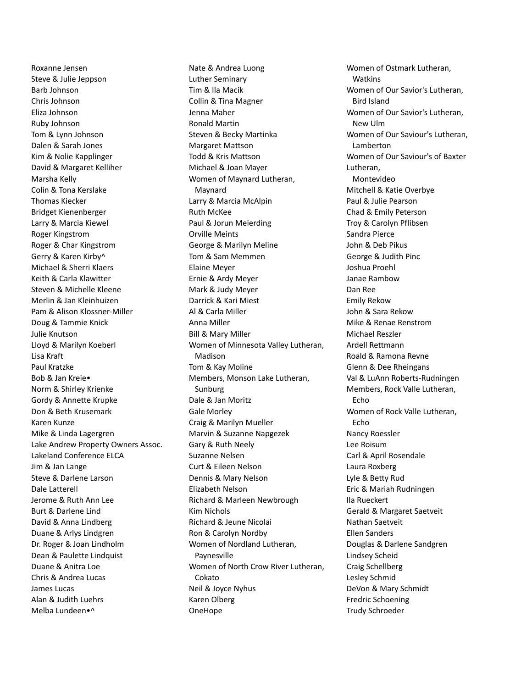Roxanne Jensen Steve & Julie Jeppson Barb Johnson Chris Johnson Eliza Johnson Ruby Johnson Tom & Lynn Johnson Dalen & Sarah Jones Kim & Nolie Kapplinger David & Margaret Kelliher Marsha Kelly Colin & Tona Kerslake Thomas Kiecker Bridget Kienenberger Larry & Marcia Kiewel Roger Kingstrom Roger & Char Kingstrom Gerry & Karen Kirby^ Michael & Sherri Klaers Keith & Carla Klawitter Steven & Michelle Kleene Merlin & Jan Kleinhuizen Pam & Alison Klossner-Miller Doug & Tammie Knick Julie Knutson Lloyd & Marilyn Koeberl Lisa Kraft Paul Kratzke Bob & Jan Kreie• Norm & Shirley Krienke Gordy & Annette Krupke Don & Beth Krusemark Karen Kunze Mike & Linda Lagergren Lake Andrew Property Owners Assoc. Lakeland Conference ELCA Jim & Jan Lange Steve & Darlene Larson Dale Latterell Jerome & Ruth Ann Lee Burt & Darlene Lind David & Anna Lindberg Duane & Arlys Lindgren Dr. Roger & Joan Lindholm Dean & Paulette Lindquist Duane & Anitra Loe Chris & Andrea Lucas James Lucas Alan & Judith Luehrs Melba Lundeen•^

Nate & Andrea Luong Luther Seminary Tim & Ila Macik Collin & Tina Magner Jenna Maher Ronald Martin Steven & Becky Martinka Margaret Mattson Todd & Kris Mattson Michael & Joan Mayer Women of Maynard Lutheran, Maynard Larry & Marcia McAlpin Ruth McKee Paul & Jorun Meierding Orville Meints George & Marilyn Meline Tom & Sam Memmen Elaine Meyer Ernie & Ardy Meyer Mark & Judy Meyer Darrick & Kari Miest Al & Carla Miller Anna Miller Bill & Mary Miller Women of Minnesota Valley Lutheran, Madison Tom & Kay Moline Members, Monson Lake Lutheran, Sunburg Dale & Jan Moritz Gale Morley Craig & Marilyn Mueller Marvin & Suzanne Napgezek Gary & Ruth Neely Suzanne Nelsen Curt & Eileen Nelson Dennis & Mary Nelson Elizabeth Nelson Richard & Marleen Newbrough Kim Nichols Richard & Jeune Nicolai Ron & Carolyn Nordby Women of Nordland Lutheran, Paynesville Women of North Crow River Lutheran, Cokato Neil & Joyce Nyhus Karen Olberg OneHope

Women of Ostmark Lutheran, Watkins Women of Our Savior's Lutheran, Bird Island Women of Our Savior's Lutheran, New Ulm Women of Our Saviour's Lutheran, Lamberton Women of Our Saviour's of Baxter Lutheran, Montevideo Mitchell & Katie Overbye Paul & Julie Pearson Chad & Emily Peterson Troy & Carolyn Pflibsen Sandra Pierce John & Deb Pikus George & Judith Pinc Joshua Proehl Janae Rambow Dan Ree Emily Rekow John & Sara Rekow Mike & Renae Renstrom Michael Reszler Ardell Rettmann Roald & Ramona Revne Glenn & Dee Rheingans Val & LuAnn Roberts-Rudningen Members, Rock Valle Lutheran, Echo Women of Rock Valle Lutheran, Echo Nancy Roessler Lee Roisum Carl & April Rosendale Laura Roxberg Lyle & Betty Rud Eric & Mariah Rudningen Ila Rueckert Gerald & Margaret Saetveit Nathan Saetveit Ellen Sanders Douglas & Darlene Sandgren Lindsey Scheid Craig Schellberg Lesley Schmid DeVon & Mary Schmidt Fredric Schoening Trudy Schroeder